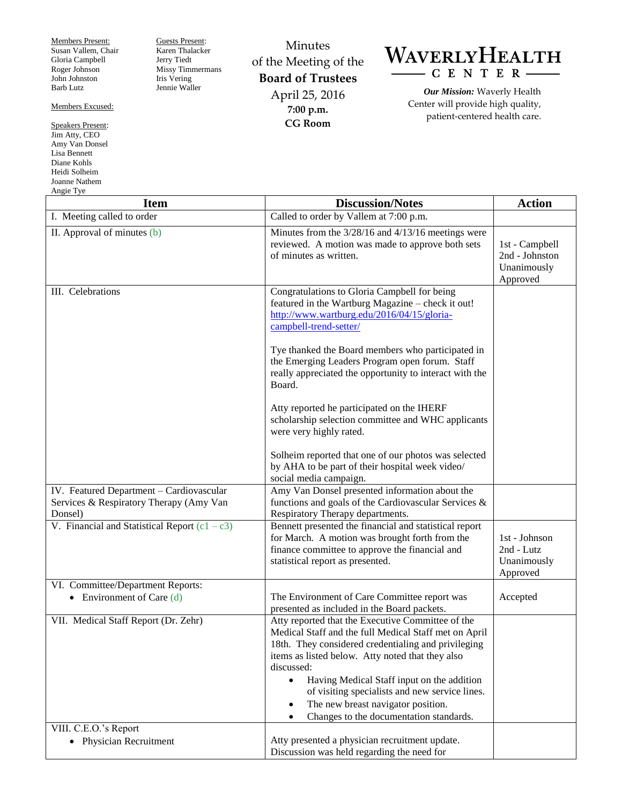Members Present: Susan Vallem, Chair Gloria Campbell Roger Johnson John Johnston Barb Lutz

Members Excused:

Speakers Present: Jim Atty, CEO Amy Van Donsel Lisa Bennett Diane Kohls Heidi Solheim Joanne Nathem Angie Tye

Guests Present: Karen Thalacker Jerry Tiedt Missy Timmermans Iris Vering Jennie Waller

Minutes of the Meeting of the **Board of Trustees** April 25, 2016 **7:00 p.m. CG Room**



*Our Mission:* Waverly Health Center will provide high quality, patient-centered health care.

| <b>Item</b>                                                                                    | <b>Discussion/Notes</b>                                                                                                                                                                                                                                                                                                                                                                                                                                     | <b>Action</b>                                               |
|------------------------------------------------------------------------------------------------|-------------------------------------------------------------------------------------------------------------------------------------------------------------------------------------------------------------------------------------------------------------------------------------------------------------------------------------------------------------------------------------------------------------------------------------------------------------|-------------------------------------------------------------|
| I. Meeting called to order                                                                     | Called to order by Vallem at 7:00 p.m.                                                                                                                                                                                                                                                                                                                                                                                                                      |                                                             |
| II. Approval of minutes (b)                                                                    | Minutes from the 3/28/16 and 4/13/16 meetings were<br>reviewed. A motion was made to approve both sets<br>of minutes as written.                                                                                                                                                                                                                                                                                                                            | 1st - Campbell<br>2nd - Johnston<br>Unanimously<br>Approved |
| III. Celebrations                                                                              | Congratulations to Gloria Campbell for being<br>featured in the Wartburg Magazine - check it out!<br>http://www.wartburg.edu/2016/04/15/gloria-<br>campbell-trend-setter/<br>Tye thanked the Board members who participated in<br>the Emerging Leaders Program open forum. Staff                                                                                                                                                                            |                                                             |
|                                                                                                | really appreciated the opportunity to interact with the<br>Board.                                                                                                                                                                                                                                                                                                                                                                                           |                                                             |
|                                                                                                | Atty reported he participated on the IHERF<br>scholarship selection committee and WHC applicants<br>were very highly rated.                                                                                                                                                                                                                                                                                                                                 |                                                             |
|                                                                                                | Solheim reported that one of our photos was selected<br>by AHA to be part of their hospital week video/<br>social media campaign.                                                                                                                                                                                                                                                                                                                           |                                                             |
| IV. Featured Department - Cardiovascular<br>Services & Respiratory Therapy (Amy Van<br>Donsel) | Amy Van Donsel presented information about the<br>functions and goals of the Cardiovascular Services &<br>Respiratory Therapy departments.                                                                                                                                                                                                                                                                                                                  |                                                             |
| V. Financial and Statistical Report $(c1 - c3)$                                                | Bennett presented the financial and statistical report<br>for March. A motion was brought forth from the<br>finance committee to approve the financial and<br>statistical report as presented.                                                                                                                                                                                                                                                              | 1st - Johnson<br>2nd - Lutz<br>Unanimously<br>Approved      |
| VI. Committee/Department Reports:<br>• Environment of Care $(d)$                               | The Environment of Care Committee report was<br>presented as included in the Board packets.                                                                                                                                                                                                                                                                                                                                                                 | Accepted                                                    |
| VII. Medical Staff Report (Dr. Zehr)                                                           | Atty reported that the Executive Committee of the<br>Medical Staff and the full Medical Staff met on April<br>18th. They considered credentialing and privileging<br>items as listed below. Atty noted that they also<br>discussed:<br>Having Medical Staff input on the addition<br>$\bullet$<br>of visiting specialists and new service lines.<br>The new breast navigator position.<br>$\bullet$<br>Changes to the documentation standards.<br>$\bullet$ |                                                             |
| VIII. C.E.O.'s Report                                                                          | Atty presented a physician recruitment update.                                                                                                                                                                                                                                                                                                                                                                                                              |                                                             |
| • Physician Recruitment                                                                        | Discussion was held regarding the need for                                                                                                                                                                                                                                                                                                                                                                                                                  |                                                             |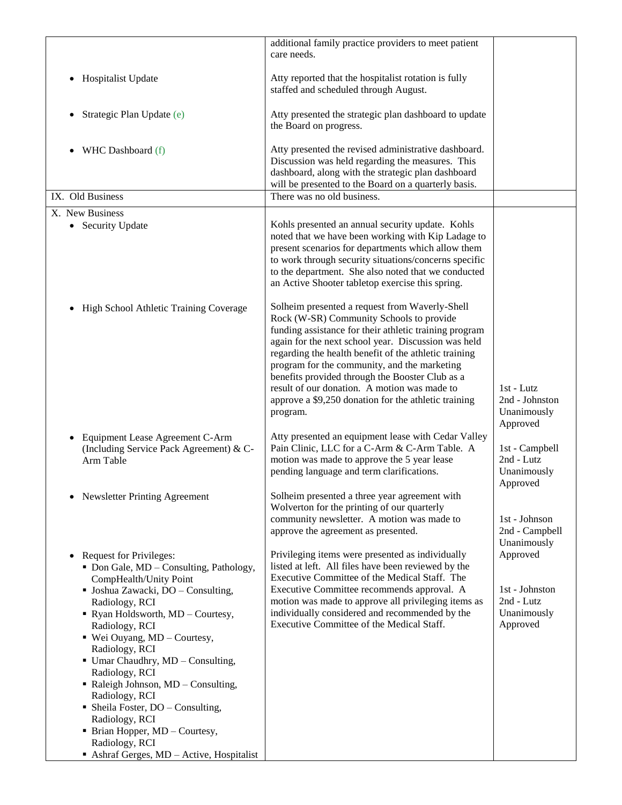| additional family practice providers to meet patient                                                                                                                                                                                                                                                                                                                                                                                                                                        |                                                           |
|---------------------------------------------------------------------------------------------------------------------------------------------------------------------------------------------------------------------------------------------------------------------------------------------------------------------------------------------------------------------------------------------------------------------------------------------------------------------------------------------|-----------------------------------------------------------|
|                                                                                                                                                                                                                                                                                                                                                                                                                                                                                             |                                                           |
| Atty reported that the hospitalist rotation is fully<br>staffed and scheduled through August.                                                                                                                                                                                                                                                                                                                                                                                               |                                                           |
| Atty presented the strategic plan dashboard to update<br>the Board on progress.                                                                                                                                                                                                                                                                                                                                                                                                             |                                                           |
| Atty presented the revised administrative dashboard.<br>Discussion was held regarding the measures. This<br>dashboard, along with the strategic plan dashboard<br>will be presented to the Board on a quarterly basis.                                                                                                                                                                                                                                                                      |                                                           |
| There was no old business.                                                                                                                                                                                                                                                                                                                                                                                                                                                                  |                                                           |
|                                                                                                                                                                                                                                                                                                                                                                                                                                                                                             |                                                           |
| Kohls presented an annual security update. Kohls<br>noted that we have been working with Kip Ladage to<br>present scenarios for departments which allow them<br>to work through security situations/concerns specific<br>to the department. She also noted that we conducted<br>an Active Shooter tabletop exercise this spring.                                                                                                                                                            |                                                           |
| Solheim presented a request from Waverly-Shell<br>Rock (W-SR) Community Schools to provide<br>funding assistance for their athletic training program<br>again for the next school year. Discussion was held<br>regarding the health benefit of the athletic training<br>program for the community, and the marketing<br>benefits provided through the Booster Club as a<br>result of our donation. A motion was made to<br>approve a \$9,250 donation for the athletic training<br>program. | 1st - Lutz<br>2nd - Johnston<br>Unanimously<br>Approved   |
| Atty presented an equipment lease with Cedar Valley<br>Pain Clinic, LLC for a C-Arm & C-Arm Table. A<br>motion was made to approve the 5 year lease<br>pending language and term clarifications.                                                                                                                                                                                                                                                                                            | 1st - Campbell<br>2nd - Lutz<br>Unanimously<br>Approved   |
| Solheim presented a three year agreement with<br>Wolverton for the printing of our quarterly<br>community newsletter. A motion was made to<br>approve the agreement as presented.                                                                                                                                                                                                                                                                                                           | 1st - Johnson<br>2nd - Campbell<br>Unanimously            |
| Privileging items were presented as individually<br>listed at left. All files have been reviewed by the<br>Executive Committee of the Medical Staff. The                                                                                                                                                                                                                                                                                                                                    | Approved                                                  |
| motion was made to approve all privileging items as<br>individually considered and recommended by the<br>Executive Committee of the Medical Staff.                                                                                                                                                                                                                                                                                                                                          | 1st - Johnston<br>2nd - Lutz<br>Unanimously<br>Approved   |
| Ashraf Gerges, MD - Active, Hospitalist                                                                                                                                                                                                                                                                                                                                                                                                                                                     | care needs.<br>Executive Committee recommends approval. A |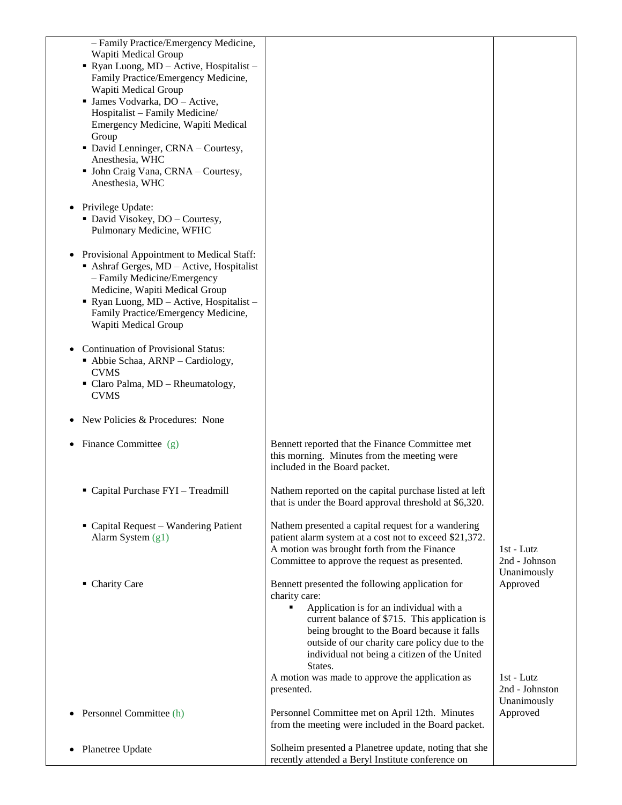| - Family Practice/Emergency Medicine,<br>Wapiti Medical Group<br>Ryan Luong, MD - Active, Hospitalist -<br>Family Practice/Emergency Medicine,<br>Wapiti Medical Group<br>· James Vodvarka, DO - Active,<br>Hospitalist - Family Medicine/<br>Emergency Medicine, Wapiti Medical<br>Group<br>· David Lenninger, CRNA - Courtesy,<br>Anesthesia, WHC<br>• John Craig Vana, CRNA - Courtesy,<br>Anesthesia, WHC |                                                                                                                                                                                                                                                                                                                              |                                               |
|---------------------------------------------------------------------------------------------------------------------------------------------------------------------------------------------------------------------------------------------------------------------------------------------------------------------------------------------------------------------------------------------------------------|------------------------------------------------------------------------------------------------------------------------------------------------------------------------------------------------------------------------------------------------------------------------------------------------------------------------------|-----------------------------------------------|
| Privilege Update:<br>• David Visokey, DO - Courtesy,<br>Pulmonary Medicine, WFHC                                                                                                                                                                                                                                                                                                                              |                                                                                                                                                                                                                                                                                                                              |                                               |
| Provisional Appointment to Medical Staff:<br>Ashraf Gerges, MD - Active, Hospitalist<br>- Family Medicine/Emergency<br>Medicine, Wapiti Medical Group<br>Ryan Luong, $MD - Active$ , Hospitalist -<br>Family Practice/Emergency Medicine,<br>Wapiti Medical Group                                                                                                                                             |                                                                                                                                                                                                                                                                                                                              |                                               |
| <b>Continuation of Provisional Status:</b><br>• Abbie Schaa, ARNP - Cardiology,<br><b>CVMS</b><br>• Claro Palma, MD - Rheumatology,<br><b>CVMS</b>                                                                                                                                                                                                                                                            |                                                                                                                                                                                                                                                                                                                              |                                               |
| New Policies & Procedures: None                                                                                                                                                                                                                                                                                                                                                                               |                                                                                                                                                                                                                                                                                                                              |                                               |
| Finance Committee (g)                                                                                                                                                                                                                                                                                                                                                                                         | Bennett reported that the Finance Committee met<br>this morning. Minutes from the meeting were<br>included in the Board packet.                                                                                                                                                                                              |                                               |
| Capital Purchase FYI - Treadmill                                                                                                                                                                                                                                                                                                                                                                              | Nathem reported on the capital purchase listed at left<br>that is under the Board approval threshold at \$6,320.                                                                                                                                                                                                             |                                               |
| • Capital Request – Wandering Patient<br>Alarm System $(g1)$                                                                                                                                                                                                                                                                                                                                                  | Nathem presented a capital request for a wandering<br>patient alarm system at a cost not to exceed \$21,372.<br>A motion was brought forth from the Finance<br>Committee to approve the request as presented.                                                                                                                | 1st - Lutz<br>2nd - Johnson<br>Unanimously    |
| • Charity Care                                                                                                                                                                                                                                                                                                                                                                                                | Bennett presented the following application for<br>charity care:<br>Application is for an individual with a<br>٠<br>current balance of \$715. This application is<br>being brought to the Board because it falls<br>outside of our charity care policy due to the<br>individual not being a citizen of the United<br>States. | Approved                                      |
|                                                                                                                                                                                                                                                                                                                                                                                                               | A motion was made to approve the application as<br>presented.                                                                                                                                                                                                                                                                | $1st - Lutz$<br>2nd - Johnston<br>Unanimously |
| Personnel Committee (h)                                                                                                                                                                                                                                                                                                                                                                                       | Personnel Committee met on April 12th. Minutes<br>from the meeting were included in the Board packet.                                                                                                                                                                                                                        | Approved                                      |
| Planetree Update                                                                                                                                                                                                                                                                                                                                                                                              | Solheim presented a Planetree update, noting that she<br>recently attended a Beryl Institute conference on                                                                                                                                                                                                                   |                                               |